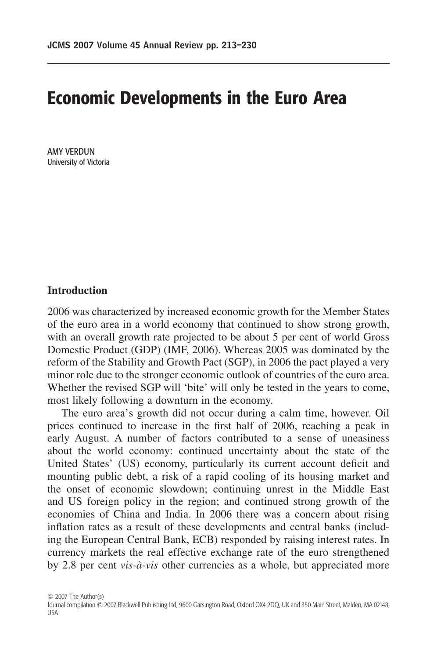# **Economic Developments in the Euro Area**

AMY VERDUN University of Victoria

## **Introduction**

2006 was characterized by increased economic growth for the Member States of the euro area in a world economy that continued to show strong growth, with an overall growth rate projected to be about 5 per cent of world Gross Domestic Product (GDP) (IMF, 2006). Whereas 2005 was dominated by the reform of the Stability and Growth Pact (SGP), in 2006 the pact played a very minor role due to the stronger economic outlook of countries of the euro area. Whether the revised SGP will 'bite' will only be tested in the years to come, most likely following a downturn in the economy.

The euro area's growth did not occur during a calm time, however. Oil prices continued to increase in the first half of 2006, reaching a peak in early August. A number of factors contributed to a sense of uneasiness about the world economy: continued uncertainty about the state of the United States' (US) economy, particularly its current account deficit and mounting public debt, a risk of a rapid cooling of its housing market and the onset of economic slowdown; continuing unrest in the Middle East and US foreign policy in the region; and continued strong growth of the economies of China and India. In 2006 there was a concern about rising inflation rates as a result of these developments and central banks (including the European Central Bank, ECB) responded by raising interest rates. In currency markets the real effective exchange rate of the euro strengthened by 2.8 per cent *vis-à-vis* other currencies as a whole, but appreciated more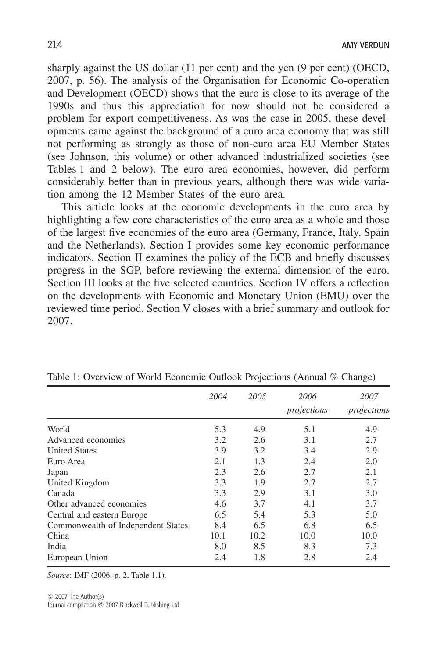sharply against the US dollar (11 per cent) and the yen (9 per cent) (OECD, 2007, p. 56). The analysis of the Organisation for Economic Co-operation and Development (OECD) shows that the euro is close to its average of the 1990s and thus this appreciation for now should not be considered a problem for export competitiveness. As was the case in 2005, these developments came against the background of a euro area economy that was still not performing as strongly as those of non-euro area EU Member States (see Johnson, this volume) or other advanced industrialized societies (see Tables 1 and 2 below). The euro area economies, however, did perform considerably better than in previous years, although there was wide variation among the 12 Member States of the euro area.

This article looks at the economic developments in the euro area by highlighting a few core characteristics of the euro area as a whole and those of the largest five economies of the euro area (Germany, France, Italy, Spain and the Netherlands). Section I provides some key economic performance indicators. Section II examines the policy of the ECB and briefly discusses progress in the SGP, before reviewing the external dimension of the euro. Section III looks at the five selected countries. Section IV offers a reflection on the developments with Economic and Monetary Union (EMU) over the reviewed time period. Section V closes with a brief summary and outlook for 2007.

|                                    | 2004 | 2005 | 2006<br>projections | 2007<br>projections |
|------------------------------------|------|------|---------------------|---------------------|
|                                    |      |      |                     |                     |
| World                              | 5.3  | 4.9  | 5.1                 | 4.9                 |
| Advanced economies                 | 3.2  | 2.6  | 3.1                 | 2.7                 |
| <b>United States</b>               | 3.9  | 3.2  | 3.4                 | 2.9                 |
| Euro Area                          | 2.1  | 1.3  | 2.4                 | 2.0                 |
| Japan                              | 2.3  | 2.6  | 2.7                 | 2.1                 |
| United Kingdom                     | 3.3  | 1.9  | 2.7                 | 2.7                 |
| Canada                             | 3.3  | 2.9  | 3.1                 | 3.0                 |
| Other advanced economies           | 4.6  | 3.7  | 4.1                 | 3.7                 |
| Central and eastern Europe         | 6.5  | 5.4  | 5.3                 | 5.0                 |
| Commonwealth of Independent States | 8.4  | 6.5  | 6.8                 | 6.5                 |
| China                              | 10.1 | 10.2 | 10.0                | 10.0                |
| India                              | 8.0  | 8.5  | 8.3                 | 7.3                 |
| European Union                     | 2.4  | 1.8  | 2.8                 | 2.4                 |

Table 1: Overview of World Economic Outlook Projections (Annual % Change)

*Source*: IMF (2006, p. 2, Table 1.1).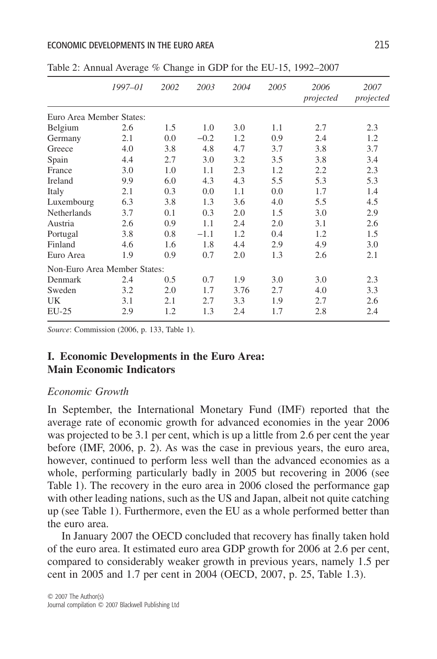#### ECONOMIC DEVELOPMENTS IN THE EURO AREA 215

|                              | 1997-01 | 2002 | 2003   | 2004 | 2005 | 2006<br>projected | 2007<br>projected |
|------------------------------|---------|------|--------|------|------|-------------------|-------------------|
| Euro Area Member States:     |         |      |        |      |      |                   |                   |
| Belgium                      | 2.6     | 1.5  | 1.0    | 3.0  | 1.1  | 2.7               | 2.3               |
| Germany                      | 2.1     | 0.0  | $-0.2$ | 1.2  | 0.9  | 2.4               | 1.2               |
| Greece                       | 4.0     | 3.8  | 4.8    | 4.7  | 3.7  | 3.8               | 3.7               |
| Spain                        | 4.4     | 2.7  | 3.0    | 3.2  | 3.5  | 3.8               | 3.4               |
| France                       | 3.0     | 1.0  | 1.1    | 2.3  | 1.2  | 2.2               | 2.3               |
| Ireland                      | 9.9     | 6.0  | 4.3    | 4.3  | 5.5  | 5.3               | 5.3               |
| Italy                        | 2.1     | 0.3  | 0.0    | 1.1  | 0.0  | 1.7               | 1.4               |
| Luxembourg                   | 6.3     | 3.8  | 1.3    | 3.6  | 4.0  | 5.5               | 4.5               |
| Netherlands                  | 3.7     | 0.1  | 0.3    | 2.0  | 1.5  | 3.0               | 2.9               |
| Austria                      | 2.6     | 0.9  | 1.1    | 2.4  | 2.0  | 3.1               | 2.6               |
| Portugal                     | 3.8     | 0.8  | $-1.1$ | 1.2  | 0.4  | 1.2               | 1.5               |
| Finland                      | 4.6     | 1.6  | 1.8    | 4.4  | 2.9  | 4.9               | 3.0               |
| Euro Area                    | 1.9     | 0.9  | 0.7    | 2.0  | 1.3  | 2.6               | 2.1               |
| Non-Euro Area Member States: |         |      |        |      |      |                   |                   |
| Denmark                      | 2.4     | 0.5  | 0.7    | 1.9  | 3.0  | 3.0               | 2.3               |
| Sweden                       | 3.2     | 2.0  | 1.7    | 3.76 | 2.7  | 4.0               | 3.3               |
| UK                           | 3.1     | 2.1  | 2.7    | 3.3  | 1.9  | 2.7               | 2.6               |
| $EU-25$                      | 2.9     | 1.2  | 1.3    | 2.4  | 1.7  | 2.8               | 2.4               |

Table 2: Annual Average % Change in GDP for the EU-15, 1992–2007

*Source*: Commission (2006, p. 133, Table 1).

## **I. Economic Developments in the Euro Area: Main Economic Indicators**

#### *Economic Growth*

In September, the International Monetary Fund (IMF) reported that the average rate of economic growth for advanced economies in the year 2006 was projected to be 3.1 per cent, which is up a little from 2.6 per cent the year before (IMF, 2006, p. 2). As was the case in previous years, the euro area, however, continued to perform less well than the advanced economies as a whole, performing particularly badly in 2005 but recovering in 2006 (see Table 1). The recovery in the euro area in 2006 closed the performance gap with other leading nations, such as the US and Japan, albeit not quite catching up (see Table 1). Furthermore, even the EU as a whole performed better than the euro area.

In January 2007 the OECD concluded that recovery has finally taken hold of the euro area. It estimated euro area GDP growth for 2006 at 2.6 per cent, compared to considerably weaker growth in previous years, namely 1.5 per cent in 2005 and 1.7 per cent in 2004 (OECD, 2007, p. 25, Table 1.3).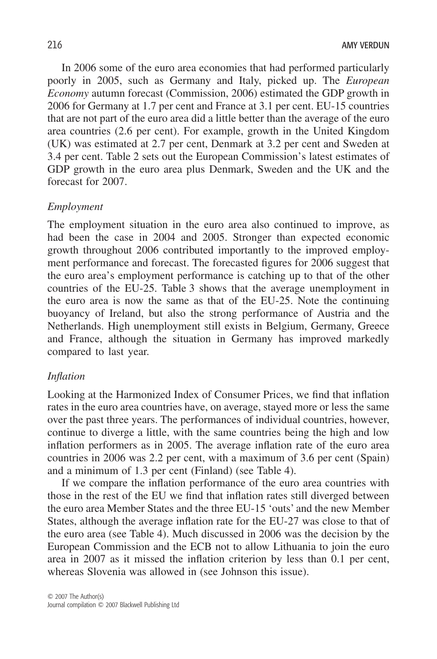In 2006 some of the euro area economies that had performed particularly poorly in 2005, such as Germany and Italy, picked up. The *European Economy* autumn forecast (Commission, 2006) estimated the GDP growth in 2006 for Germany at 1.7 per cent and France at 3.1 per cent. EU-15 countries that are not part of the euro area did a little better than the average of the euro area countries (2.6 per cent). For example, growth in the United Kingdom (UK) was estimated at 2.7 per cent, Denmark at 3.2 per cent and Sweden at 3.4 per cent. Table 2 sets out the European Commission's latest estimates of GDP growth in the euro area plus Denmark, Sweden and the UK and the forecast for 2007.

#### *Employment*

The employment situation in the euro area also continued to improve, as had been the case in 2004 and 2005. Stronger than expected economic growth throughout 2006 contributed importantly to the improved employment performance and forecast. The forecasted figures for 2006 suggest that the euro area's employment performance is catching up to that of the other countries of the EU-25. Table 3 shows that the average unemployment in the euro area is now the same as that of the EU-25. Note the continuing buoyancy of Ireland, but also the strong performance of Austria and the Netherlands. High unemployment still exists in Belgium, Germany, Greece and France, although the situation in Germany has improved markedly compared to last year.

#### *Inflation*

Looking at the Harmonized Index of Consumer Prices, we find that inflation rates in the euro area countries have, on average, stayed more or less the same over the past three years. The performances of individual countries, however, continue to diverge a little, with the same countries being the high and low inflation performers as in 2005. The average inflation rate of the euro area countries in 2006 was 2.2 per cent, with a maximum of 3.6 per cent (Spain) and a minimum of 1.3 per cent (Finland) (see Table 4).

If we compare the inflation performance of the euro area countries with those in the rest of the EU we find that inflation rates still diverged between the euro area Member States and the three EU-15 'outs' and the new Member States, although the average inflation rate for the EU-27 was close to that of the euro area (see Table 4). Much discussed in 2006 was the decision by the European Commission and the ECB not to allow Lithuania to join the euro area in 2007 as it missed the inflation criterion by less than 0.1 per cent, whereas Slovenia was allowed in (see Johnson this issue).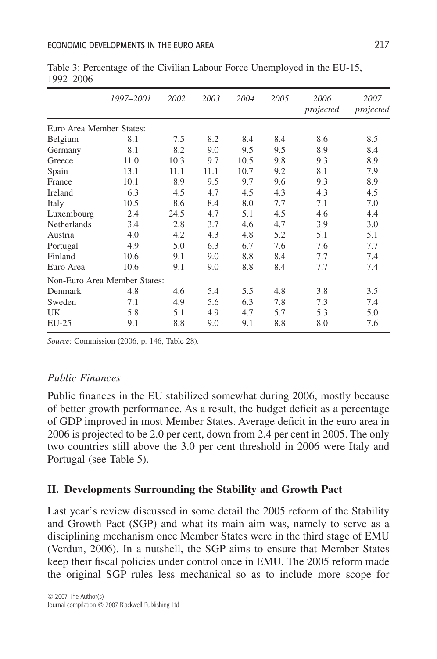|                              | 1997-2001 | 2002 | 2003 | 2004 | 2005 | 2006<br>projected | 2007<br>projected |
|------------------------------|-----------|------|------|------|------|-------------------|-------------------|
| Euro Area Member States:     |           |      |      |      |      |                   |                   |
| Belgium                      | 8.1       | 7.5  | 8.2  | 8.4  | 8.4  | 8.6               | 8.5               |
| Germany                      | 8.1       | 8.2  | 9.0  | 9.5  | 9.5  | 8.9               | 8.4               |
| Greece                       | 11.0      | 10.3 | 9.7  | 10.5 | 9.8  | 9.3               | 8.9               |
| Spain                        | 13.1      | 11.1 | 11.1 | 10.7 | 9.2  | 8.1               | 7.9               |
| France                       | 10.1      | 8.9  | 9.5  | 9.7  | 9.6  | 9.3               | 8.9               |
| Ireland                      | 6.3       | 4.5  | 4.7  | 4.5  | 4.3  | 4.3               | 4.5               |
| Italy                        | 10.5      | 8.6  | 8.4  | 8.0  | 7.7  | 7.1               | 7.0               |
| Luxembourg                   | 2.4       | 24.5 | 4.7  | 5.1  | 4.5  | 4.6               | 4.4               |
| <b>Netherlands</b>           | 3.4       | 2.8  | 3.7  | 4.6  | 4.7  | 3.9               | 3.0               |
| Austria                      | 4.0       | 4.2  | 4.3  | 4.8  | 5.2  | 5.1               | 5.1               |
| Portugal                     | 4.9       | 5.0  | 6.3  | 6.7  | 7.6  | 7.6               | 7.7               |
| Finland                      | 10.6      | 9.1  | 9.0  | 8.8  | 8.4  | 7.7               | 7.4               |
| Euro Area                    | 10.6      | 9.1  | 9.0  | 8.8  | 8.4  | 7.7               | 7.4               |
| Non-Euro Area Member States: |           |      |      |      |      |                   |                   |
| Denmark                      | 4.8       | 4.6  | 5.4  | 5.5  | 4.8  | 3.8               | 3.5               |
| Sweden                       | 7.1       | 4.9  | 5.6  | 6.3  | 7.8  | 7.3               | 7.4               |
| <b>UK</b>                    | 5.8       | 5.1  | 4.9  | 4.7  | 5.7  | 5.3               | 5.0               |
| $EU-25$                      | 9.1       | 8.8  | 9.0  | 9.1  | 8.8  | 8.0               | 7.6               |

Table 3: Percentage of the Civilian Labour Force Unemployed in the EU-15, 1992–2006

*Source*: Commission (2006, p. 146, Table 28).

## *Public Finances*

Public finances in the EU stabilized somewhat during 2006, mostly because of better growth performance. As a result, the budget deficit as a percentage of GDP improved in most Member States. Average deficit in the euro area in 2006 is projected to be 2.0 per cent, down from 2.4 per cent in 2005. The only two countries still above the 3.0 per cent threshold in 2006 were Italy and Portugal (see Table 5).

## **II. Developments Surrounding the Stability and Growth Pact**

Last year's review discussed in some detail the 2005 reform of the Stability and Growth Pact (SGP) and what its main aim was, namely to serve as a disciplining mechanism once Member States were in the third stage of EMU (Verdun, 2006). In a nutshell, the SGP aims to ensure that Member States keep their fiscal policies under control once in EMU. The 2005 reform made the original SGP rules less mechanical so as to include more scope for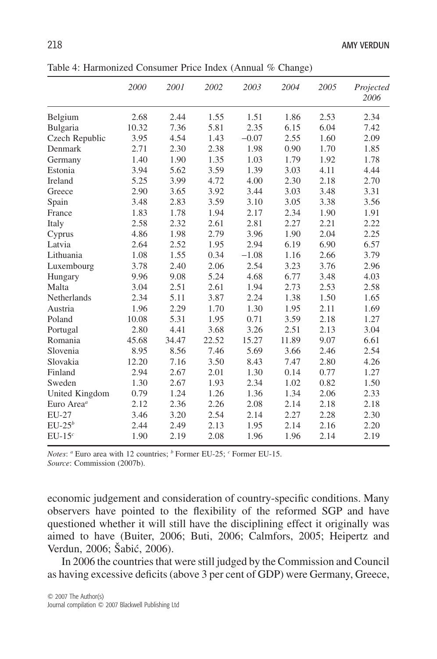|                        | 2000  | 2001  | 2002  | 2003    | 2004  | 2005 | Projected<br>2006 |
|------------------------|-------|-------|-------|---------|-------|------|-------------------|
| Belgium                | 2.68  | 2.44  | 1.55  | 1.51    | 1.86  | 2.53 | 2.34              |
| Bulgaria               | 10.32 | 7.36  | 5.81  | 2.35    | 6.15  | 6.04 | 7.42              |
| Czech Republic         | 3.95  | 4.54  | 1.43  | $-0.07$ | 2.55  | 1.60 | 2.09              |
| Denmark                | 2.71  | 2.30  | 2.38  | 1.98    | 0.90  | 1.70 | 1.85              |
| Germany                | 1.40  | 1.90  | 1.35  | 1.03    | 1.79  | 1.92 | 1.78              |
| Estonia                | 3.94  | 5.62  | 3.59  | 1.39    | 3.03  | 4.11 | 4.44              |
| Ireland                | 5.25  | 3.99  | 4.72  | 4.00    | 2.30  | 2.18 | 2.70              |
| Greece                 | 2.90  | 3.65  | 3.92  | 3.44    | 3.03  | 3.48 | 3.31              |
| Spain                  | 3.48  | 2.83  | 3.59  | 3.10    | 3.05  | 3.38 | 3.56              |
| France                 | 1.83  | 1.78  | 1.94  | 2.17    | 2.34  | 1.90 | 1.91              |
| Italy                  | 2.58  | 2.32  | 2.61  | 2.81    | 2.27  | 2.21 | 2.22              |
| Cyprus                 | 4.86  | 1.98  | 2.79  | 3.96    | 1.90  | 2.04 | 2.25              |
| Latvia                 | 2.64  | 2.52  | 1.95  | 2.94    | 6.19  | 6.90 | 6.57              |
| Lithuania              | 1.08  | 1.55  | 0.34  | $-1.08$ | 1.16  | 2.66 | 3.79              |
| Luxembourg             | 3.78  | 2.40  | 2.06  | 2.54    | 3.23  | 3.76 | 2.96              |
| Hungary                | 9.96  | 9.08  | 5.24  | 4.68    | 6.77  | 3.48 | 4.03              |
| Malta                  | 3.04  | 2.51  | 2.61  | 1.94    | 2.73  | 2.53 | 2.58              |
| Netherlands            | 2.34  | 5.11  | 3.87  | 2.24    | 1.38  | 1.50 | 1.65              |
| Austria                | 1.96  | 2.29  | 1.70  | 1.30    | 1.95  | 2.11 | 1.69              |
| Poland                 | 10.08 | 5.31  | 1.95  | 0.71    | 3.59  | 2.18 | 1.27              |
| Portugal               | 2.80  | 4.41  | 3.68  | 3.26    | 2.51  | 2.13 | 3.04              |
| Romania                | 45.68 | 34.47 | 22.52 | 15.27   | 11.89 | 9.07 | 6.61              |
| Slovenia               | 8.95  | 8.56  | 7.46  | 5.69    | 3.66  | 2.46 | 2.54              |
| Slovakia               | 12.20 | 7.16  | 3.50  | 8.43    | 7.47  | 2.80 | 4.26              |
| Finland                | 2.94  | 2.67  | 2.01  | 1.30    | 0.14  | 0.77 | 1.27              |
| Sweden                 | 1.30  | 2.67  | 1.93  | 2.34    | 1.02  | 0.82 | 1.50              |
| United Kingdom         | 0.79  | 1.24  | 1.26  | 1.36    | 1.34  | 2.06 | 2.33              |
| Euro Area <sup>a</sup> | 2.12  | 2.36  | 2.26  | 2.08    | 2.14  | 2.18 | 2.18              |
| EU-27                  | 3.46  | 3.20  | 2.54  | 2.14    | 2.27  | 2.28 | 2.30              |
| $EU-25^b$              | 2.44  | 2.49  | 2.13  | 1.95    | 2.14  | 2.16 | 2.20              |
| $EU-15c$               | 1.90  | 2.19  | 2.08  | 1.96    | 1.96  | 2.14 | 2.19              |
|                        |       |       |       |         |       |      |                   |

Table 4: Harmonized Consumer Price Index (Annual % Change)

*Notes*: *a* Euro area with 12 countries; *b* Former EU-25; *c* Former EU-15.

*Source*: Commission (2007b).

economic judgement and consideration of country-specific conditions. Many observers have pointed to the flexibility of the reformed SGP and have questioned whether it will still have the disciplining effect it originally was aimed to have (Buiter, 2006; Buti, 2006; Calmfors, 2005; Heipertz and Verdun, 2006; Šabić, 2006).

In 2006 the countries that were still judged by the Commission and Council as having excessive deficits (above 3 per cent of GDP) were Germany, Greece,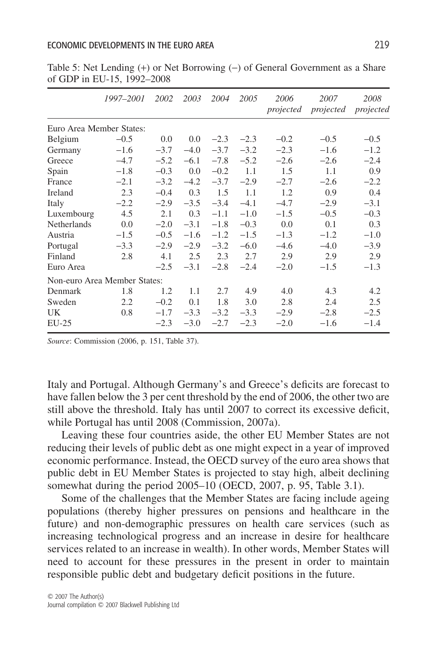|                              | 1997–2001 | 2002   | 2003   | 2004   | 2005   | 2006<br>projected | 2007<br>projected | 2008<br>projected |
|------------------------------|-----------|--------|--------|--------|--------|-------------------|-------------------|-------------------|
|                              |           |        |        |        |        |                   |                   |                   |
| Euro Area Member States:     |           |        |        |        |        |                   |                   |                   |
| Belgium                      | $-0.5$    | 0.0    | 0.0    | $-2.3$ | $-2.3$ | $-0.2$            | $-0.5$            | $-0.5$            |
| Germany                      | $-1.6$    | $-3.7$ | $-4.0$ | $-3.7$ | $-3.2$ | $-2.3$            | $-1.6$            | $-1.2$            |
| Greece                       | $-4.7$    | $-5.2$ | $-6.1$ | $-7.8$ | $-5.2$ | $-2.6$            | $-2.6$            | $-2.4$            |
| Spain                        | $-1.8$    | $-0.3$ | 0.0    | $-0.2$ | 1.1    | 1.5               | 1.1               | 0.9               |
| France                       | $-2.1$    | $-3.2$ | $-4.2$ | $-3.7$ | $-2.9$ | $-2.7$            | $-2.6$            | $-2.2$            |
| Ireland                      | 2.3       | $-0.4$ | 0.3    | 1.5    | 1.1    | 1.2               | 0.9               | 0.4               |
| Italy                        | $-2.2$    | $-2.9$ | $-3.5$ | $-3.4$ | $-4.1$ | $-4.7$            | $-2.9$            | $-3.1$            |
| Luxembourg                   | 4.5       | 2.1    | 0.3    | $-1.1$ | $-1.0$ | $-1.5$            | $-0.5$            | $-0.3$            |
| Netherlands                  | 0.0       | $-2.0$ | $-3.1$ | $-1.8$ | $-0.3$ | 0.0               | 0.1               | 0.3               |
| Austria                      | $-1.5$    | $-0.5$ | $-1.6$ | $-1.2$ | $-1.5$ | $-1.3$            | $-1.2$            | $-1.0$            |
| Portugal                     | $-3.3$    | $-2.9$ | $-2.9$ | $-3.2$ | $-6.0$ | $-4.6$            | $-4.0$            | $-3.9$            |
| Finland                      | 2.8       | 4.1    | 2.5    | 2.3    | 2.7    | 2.9               | 2.9               | 2.9               |
| Euro Area                    |           | $-2.5$ | $-3.1$ | $-2.8$ | $-2.4$ | $-2.0$            | $-1.5$            | $-1.3$            |
| Non-euro Area Member States: |           |        |        |        |        |                   |                   |                   |
| Denmark                      | 1.8       | 1.2    | 1.1    | 2.7    | 4.9    | 4.0               | 4.3               | 4.2               |
| Sweden                       | 2.2       | $-0.2$ | 0.1    | 1.8    | 3.0    | 2.8               | 2.4               | 2.5               |
| UK.                          | 0.8       | $-1.7$ | $-3.3$ | $-3.2$ | $-3.3$ | $-2.9$            | $-2.8$            | $-2.5$            |
| $EU-25$                      |           | $-2.3$ | $-3.0$ | $-2.7$ | $-2.3$ | $-2.0$            | $-1.6$            | $-1.4$            |

Table 5: Net Lending (+) or Net Borrowing (-) of General Government as a Share of GDP in EU-15, 1992–2008

*Source*: Commission (2006, p. 151, Table 37).

Italy and Portugal. Although Germany's and Greece's deficits are forecast to have fallen below the 3 per cent threshold by the end of 2006, the other two are still above the threshold. Italy has until 2007 to correct its excessive deficit, while Portugal has until 2008 (Commission, 2007a).

Leaving these four countries aside, the other EU Member States are not reducing their levels of public debt as one might expect in a year of improved economic performance. Instead, the OECD survey of the euro area shows that public debt in EU Member States is projected to stay high, albeit declining somewhat during the period 2005–10 (OECD, 2007, p. 95, Table 3.1).

Some of the challenges that the Member States are facing include ageing populations (thereby higher pressures on pensions and healthcare in the future) and non-demographic pressures on health care services (such as increasing technological progress and an increase in desire for healthcare services related to an increase in wealth). In other words, Member States will need to account for these pressures in the present in order to maintain responsible public debt and budgetary deficit positions in the future.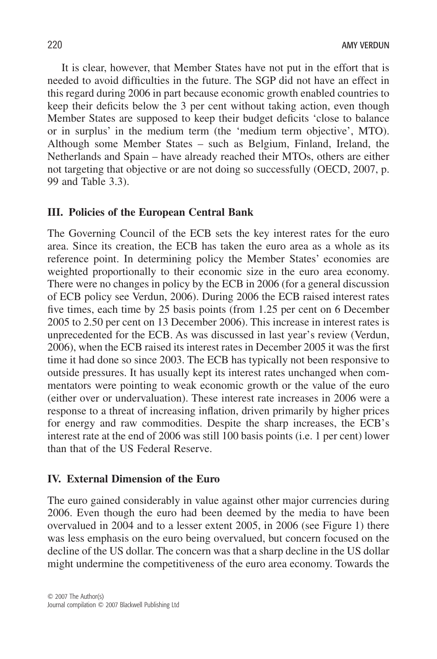It is clear, however, that Member States have not put in the effort that is needed to avoid difficulties in the future. The SGP did not have an effect in this regard during 2006 in part because economic growth enabled countries to keep their deficits below the 3 per cent without taking action, even though Member States are supposed to keep their budget deficits 'close to balance or in surplus' in the medium term (the 'medium term objective', MTO). Although some Member States – such as Belgium, Finland, Ireland, the Netherlands and Spain – have already reached their MTOs, others are either not targeting that objective or are not doing so successfully (OECD, 2007, p. 99 and Table 3.3).

### **III. Policies of the European Central Bank**

The Governing Council of the ECB sets the key interest rates for the euro area. Since its creation, the ECB has taken the euro area as a whole as its reference point. In determining policy the Member States' economies are weighted proportionally to their economic size in the euro area economy. There were no changes in policy by the ECB in 2006 (for a general discussion of ECB policy see Verdun, 2006). During 2006 the ECB raised interest rates five times, each time by 25 basis points (from 1.25 per cent on 6 December 2005 to 2.50 per cent on 13 December 2006). This increase in interest rates is unprecedented for the ECB. As was discussed in last year's review (Verdun, 2006), when the ECB raised its interest rates in December 2005 it was the first time it had done so since 2003. The ECB has typically not been responsive to outside pressures. It has usually kept its interest rates unchanged when commentators were pointing to weak economic growth or the value of the euro (either over or undervaluation). These interest rate increases in 2006 were a response to a threat of increasing inflation, driven primarily by higher prices for energy and raw commodities. Despite the sharp increases, the ECB's interest rate at the end of 2006 was still 100 basis points (i.e. 1 per cent) lower than that of the US Federal Reserve.

### **IV. External Dimension of the Euro**

The euro gained considerably in value against other major currencies during 2006. Even though the euro had been deemed by the media to have been overvalued in 2004 and to a lesser extent 2005, in 2006 (see Figure 1) there was less emphasis on the euro being overvalued, but concern focused on the decline of the US dollar. The concern was that a sharp decline in the US dollar might undermine the competitiveness of the euro area economy. Towards the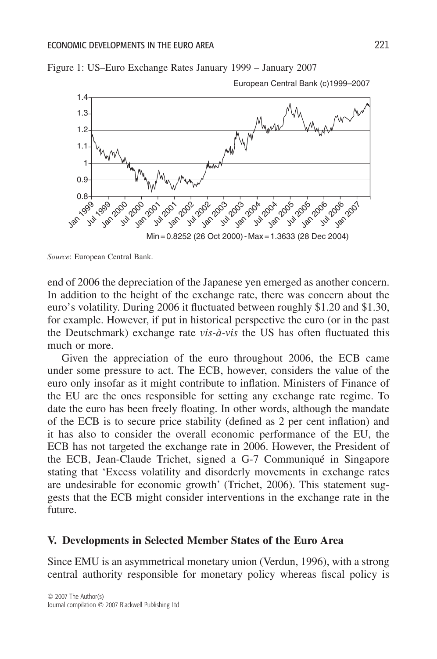

Figure 1: US–Euro Exchange Rates January 1999 – January 2007

*Source*: European Central Bank.

end of 2006 the depreciation of the Japanese yen emerged as another concern. In addition to the height of the exchange rate, there was concern about the euro's volatility. During 2006 it fluctuated between roughly \$1.20 and \$1.30, for example. However, if put in historical perspective the euro (or in the past the Deutschmark) exchange rate *vis-à-vis* the US has often fluctuated this much or more.

Given the appreciation of the euro throughout 2006, the ECB came under some pressure to act. The ECB, however, considers the value of the euro only insofar as it might contribute to inflation. Ministers of Finance of the EU are the ones responsible for setting any exchange rate regime. To date the euro has been freely floating. In other words, although the mandate of the ECB is to secure price stability (defined as 2 per cent inflation) and it has also to consider the overall economic performance of the EU, the ECB has not targeted the exchange rate in 2006. However, the President of the ECB, Jean-Claude Trichet, signed a G-7 Communiqué in Singapore stating that 'Excess volatility and disorderly movements in exchange rates are undesirable for economic growth' (Trichet, 2006). This statement suggests that the ECB might consider interventions in the exchange rate in the future.

#### **V. Developments in Selected Member States of the Euro Area**

Since EMU is an asymmetrical monetary union (Verdun, 1996), with a strong central authority responsible for monetary policy whereas fiscal policy is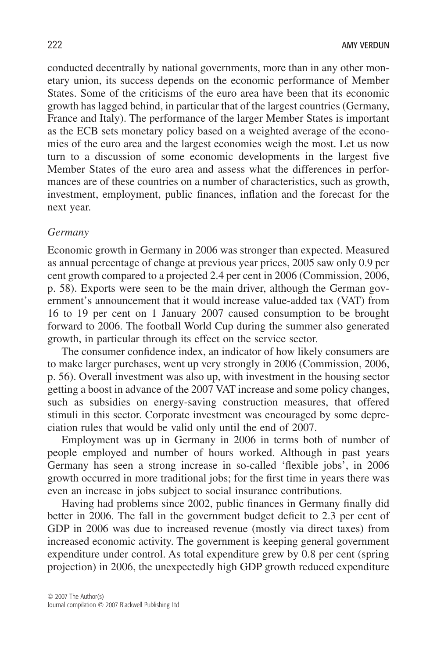conducted decentrally by national governments, more than in any other monetary union, its success depends on the economic performance of Member States. Some of the criticisms of the euro area have been that its economic growth has lagged behind, in particular that of the largest countries (Germany, France and Italy). The performance of the larger Member States is important as the ECB sets monetary policy based on a weighted average of the economies of the euro area and the largest economies weigh the most. Let us now turn to a discussion of some economic developments in the largest five Member States of the euro area and assess what the differences in performances are of these countries on a number of characteristics, such as growth, investment, employment, public finances, inflation and the forecast for the next year.

#### *Germany*

Economic growth in Germany in 2006 was stronger than expected. Measured as annual percentage of change at previous year prices, 2005 saw only 0.9 per cent growth compared to a projected 2.4 per cent in 2006 (Commission, 2006, p. 58). Exports were seen to be the main driver, although the German government's announcement that it would increase value-added tax (VAT) from 16 to 19 per cent on 1 January 2007 caused consumption to be brought forward to 2006. The football World Cup during the summer also generated growth, in particular through its effect on the service sector.

The consumer confidence index, an indicator of how likely consumers are to make larger purchases, went up very strongly in 2006 (Commission, 2006, p. 56). Overall investment was also up, with investment in the housing sector getting a boost in advance of the 2007 VAT increase and some policy changes, such as subsidies on energy-saving construction measures, that offered stimuli in this sector. Corporate investment was encouraged by some depreciation rules that would be valid only until the end of 2007.

Employment was up in Germany in 2006 in terms both of number of people employed and number of hours worked. Although in past years Germany has seen a strong increase in so-called 'flexible jobs', in 2006 growth occurred in more traditional jobs; for the first time in years there was even an increase in jobs subject to social insurance contributions.

Having had problems since 2002, public finances in Germany finally did better in 2006. The fall in the government budget deficit to 2.3 per cent of GDP in 2006 was due to increased revenue (mostly via direct taxes) from increased economic activity. The government is keeping general government expenditure under control. As total expenditure grew by 0.8 per cent (spring projection) in 2006, the unexpectedly high GDP growth reduced expenditure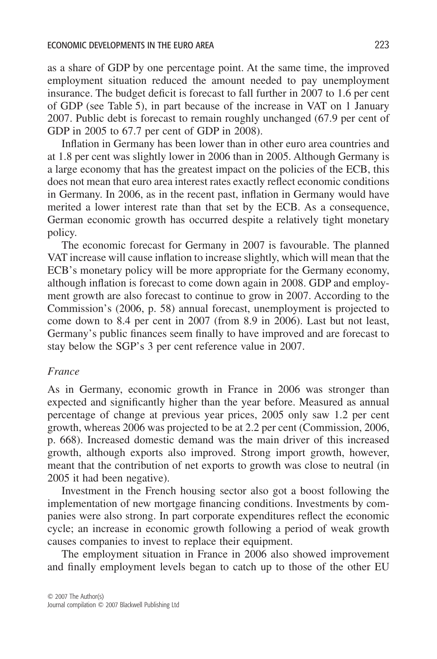as a share of GDP by one percentage point. At the same time, the improved employment situation reduced the amount needed to pay unemployment insurance. The budget deficit is forecast to fall further in 2007 to 1.6 per cent of GDP (see Table 5), in part because of the increase in VAT on 1 January 2007. Public debt is forecast to remain roughly unchanged (67.9 per cent of GDP in 2005 to 67.7 per cent of GDP in 2008).

Inflation in Germany has been lower than in other euro area countries and at 1.8 per cent was slightly lower in 2006 than in 2005. Although Germany is a large economy that has the greatest impact on the policies of the ECB, this does not mean that euro area interest rates exactly reflect economic conditions in Germany. In 2006, as in the recent past, inflation in Germany would have merited a lower interest rate than that set by the ECB. As a consequence, German economic growth has occurred despite a relatively tight monetary policy.

The economic forecast for Germany in 2007 is favourable. The planned VAT increase will cause inflation to increase slightly, which will mean that the ECB's monetary policy will be more appropriate for the Germany economy, although inflation is forecast to come down again in 2008. GDP and employment growth are also forecast to continue to grow in 2007. According to the Commission's (2006, p. 58) annual forecast, unemployment is projected to come down to 8.4 per cent in 2007 (from 8.9 in 2006). Last but not least, Germany's public finances seem finally to have improved and are forecast to stay below the SGP's 3 per cent reference value in 2007.

#### *France*

As in Germany, economic growth in France in 2006 was stronger than expected and significantly higher than the year before. Measured as annual percentage of change at previous year prices, 2005 only saw 1.2 per cent growth, whereas 2006 was projected to be at 2.2 per cent (Commission, 2006, p. 668). Increased domestic demand was the main driver of this increased growth, although exports also improved. Strong import growth, however, meant that the contribution of net exports to growth was close to neutral (in 2005 it had been negative).

Investment in the French housing sector also got a boost following the implementation of new mortgage financing conditions. Investments by companies were also strong. In part corporate expenditures reflect the economic cycle; an increase in economic growth following a period of weak growth causes companies to invest to replace their equipment.

The employment situation in France in 2006 also showed improvement and finally employment levels began to catch up to those of the other EU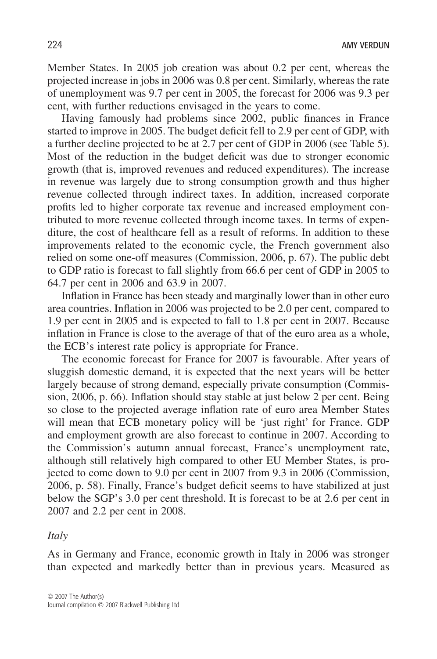Member States. In 2005 job creation was about 0.2 per cent, whereas the projected increase in jobs in 2006 was 0.8 per cent. Similarly, whereas the rate of unemployment was 9.7 per cent in 2005, the forecast for 2006 was 9.3 per cent, with further reductions envisaged in the years to come.

Having famously had problems since 2002, public finances in France started to improve in 2005. The budget deficit fell to 2.9 per cent of GDP, with a further decline projected to be at 2.7 per cent of GDP in 2006 (see Table 5). Most of the reduction in the budget deficit was due to stronger economic growth (that is, improved revenues and reduced expenditures). The increase in revenue was largely due to strong consumption growth and thus higher revenue collected through indirect taxes. In addition, increased corporate profits led to higher corporate tax revenue and increased employment contributed to more revenue collected through income taxes. In terms of expenditure, the cost of healthcare fell as a result of reforms. In addition to these improvements related to the economic cycle, the French government also relied on some one-off measures (Commission, 2006, p. 67). The public debt to GDP ratio is forecast to fall slightly from 66.6 per cent of GDP in 2005 to 64.7 per cent in 2006 and 63.9 in 2007.

Inflation in France has been steady and marginally lower than in other euro area countries. Inflation in 2006 was projected to be 2.0 per cent, compared to 1.9 per cent in 2005 and is expected to fall to 1.8 per cent in 2007. Because inflation in France is close to the average of that of the euro area as a whole, the ECB's interest rate policy is appropriate for France.

The economic forecast for France for 2007 is favourable. After years of sluggish domestic demand, it is expected that the next years will be better largely because of strong demand, especially private consumption (Commission, 2006, p. 66). Inflation should stay stable at just below 2 per cent. Being so close to the projected average inflation rate of euro area Member States will mean that ECB monetary policy will be 'just right' for France. GDP and employment growth are also forecast to continue in 2007. According to the Commission's autumn annual forecast, France's unemployment rate, although still relatively high compared to other EU Member States, is projected to come down to 9.0 per cent in 2007 from 9.3 in 2006 (Commission, 2006, p. 58). Finally, France's budget deficit seems to have stabilized at just below the SGP's 3.0 per cent threshold. It is forecast to be at 2.6 per cent in 2007 and 2.2 per cent in 2008.

#### *Italy*

As in Germany and France, economic growth in Italy in 2006 was stronger than expected and markedly better than in previous years. Measured as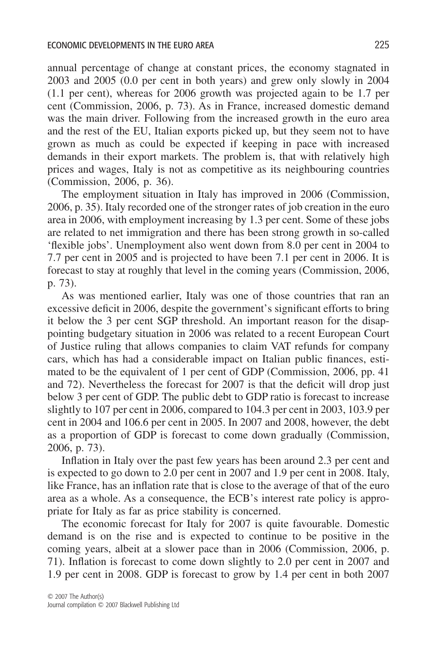annual percentage of change at constant prices, the economy stagnated in 2003 and 2005 (0.0 per cent in both years) and grew only slowly in 2004 (1.1 per cent), whereas for 2006 growth was projected again to be 1.7 per cent (Commission, 2006, p. 73). As in France, increased domestic demand was the main driver. Following from the increased growth in the euro area and the rest of the EU, Italian exports picked up, but they seem not to have grown as much as could be expected if keeping in pace with increased demands in their export markets. The problem is, that with relatively high prices and wages, Italy is not as competitive as its neighbouring countries (Commission, 2006, p. 36).

The employment situation in Italy has improved in 2006 (Commission, 2006, p. 35). Italy recorded one of the stronger rates of job creation in the euro area in 2006, with employment increasing by 1.3 per cent. Some of these jobs are related to net immigration and there has been strong growth in so-called 'flexible jobs'. Unemployment also went down from 8.0 per cent in 2004 to 7.7 per cent in 2005 and is projected to have been 7.1 per cent in 2006. It is forecast to stay at roughly that level in the coming years (Commission, 2006, p. 73).

As was mentioned earlier, Italy was one of those countries that ran an excessive deficit in 2006, despite the government's significant efforts to bring it below the 3 per cent SGP threshold. An important reason for the disappointing budgetary situation in 2006 was related to a recent European Court of Justice ruling that allows companies to claim VAT refunds for company cars, which has had a considerable impact on Italian public finances, estimated to be the equivalent of 1 per cent of GDP (Commission, 2006, pp. 41 and 72). Nevertheless the forecast for 2007 is that the deficit will drop just below 3 per cent of GDP. The public debt to GDP ratio is forecast to increase slightly to 107 per cent in 2006, compared to 104.3 per cent in 2003, 103.9 per cent in 2004 and 106.6 per cent in 2005. In 2007 and 2008, however, the debt as a proportion of GDP is forecast to come down gradually (Commission, 2006, p. 73).

Inflation in Italy over the past few years has been around 2.3 per cent and is expected to go down to 2.0 per cent in 2007 and 1.9 per cent in 2008. Italy, like France, has an inflation rate that is close to the average of that of the euro area as a whole. As a consequence, the ECB's interest rate policy is appropriate for Italy as far as price stability is concerned.

The economic forecast for Italy for 2007 is quite favourable. Domestic demand is on the rise and is expected to continue to be positive in the coming years, albeit at a slower pace than in 2006 (Commission, 2006, p. 71). Inflation is forecast to come down slightly to 2.0 per cent in 2007 and 1.9 per cent in 2008. GDP is forecast to grow by 1.4 per cent in both 2007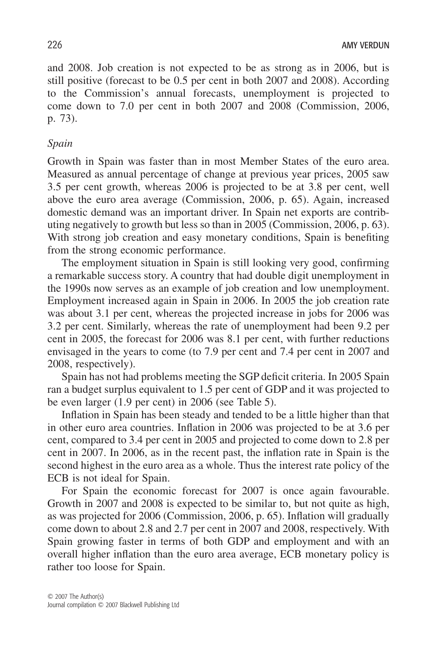and 2008. Job creation is not expected to be as strong as in 2006, but is still positive (forecast to be 0.5 per cent in both 2007 and 2008). According to the Commission's annual forecasts, unemployment is projected to come down to 7.0 per cent in both 2007 and 2008 (Commission, 2006, p. 73).

### *Spain*

Growth in Spain was faster than in most Member States of the euro area. Measured as annual percentage of change at previous year prices, 2005 saw 3.5 per cent growth, whereas 2006 is projected to be at 3.8 per cent, well above the euro area average (Commission, 2006, p. 65). Again, increased domestic demand was an important driver. In Spain net exports are contributing negatively to growth but less so than in 2005 (Commission, 2006, p. 63). With strong job creation and easy monetary conditions, Spain is benefiting from the strong economic performance.

The employment situation in Spain is still looking very good, confirming a remarkable success story. A country that had double digit unemployment in the 1990s now serves as an example of job creation and low unemployment. Employment increased again in Spain in 2006. In 2005 the job creation rate was about 3.1 per cent, whereas the projected increase in jobs for 2006 was 3.2 per cent. Similarly, whereas the rate of unemployment had been 9.2 per cent in 2005, the forecast for 2006 was 8.1 per cent, with further reductions envisaged in the years to come (to 7.9 per cent and 7.4 per cent in 2007 and 2008, respectively).

Spain has not had problems meeting the SGP deficit criteria. In 2005 Spain ran a budget surplus equivalent to 1.5 per cent of GDP and it was projected to be even larger (1.9 per cent) in 2006 (see Table 5).

Inflation in Spain has been steady and tended to be a little higher than that in other euro area countries. Inflation in 2006 was projected to be at 3.6 per cent, compared to 3.4 per cent in 2005 and projected to come down to 2.8 per cent in 2007. In 2006, as in the recent past, the inflation rate in Spain is the second highest in the euro area as a whole. Thus the interest rate policy of the ECB is not ideal for Spain.

For Spain the economic forecast for 2007 is once again favourable. Growth in 2007 and 2008 is expected to be similar to, but not quite as high, as was projected for 2006 (Commission, 2006, p. 65). Inflation will gradually come down to about 2.8 and 2.7 per cent in 2007 and 2008, respectively. With Spain growing faster in terms of both GDP and employment and with an overall higher inflation than the euro area average, ECB monetary policy is rather too loose for Spain.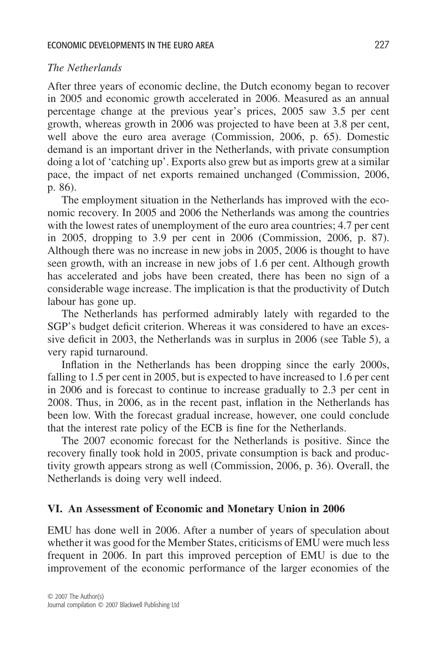## *The Netherlands*

After three years of economic decline, the Dutch economy began to recover in 2005 and economic growth accelerated in 2006. Measured as an annual percentage change at the previous year's prices, 2005 saw 3.5 per cent growth, whereas growth in 2006 was projected to have been at 3.8 per cent, well above the euro area average (Commission, 2006, p. 65). Domestic demand is an important driver in the Netherlands, with private consumption doing a lot of 'catching up'. Exports also grew but as imports grew at a similar pace, the impact of net exports remained unchanged (Commission, 2006, p. 86).

The employment situation in the Netherlands has improved with the economic recovery. In 2005 and 2006 the Netherlands was among the countries with the lowest rates of unemployment of the euro area countries; 4.7 per cent in 2005, dropping to 3.9 per cent in 2006 (Commission, 2006, p. 87). Although there was no increase in new jobs in 2005, 2006 is thought to have seen growth, with an increase in new jobs of 1.6 per cent. Although growth has accelerated and jobs have been created, there has been no sign of a considerable wage increase. The implication is that the productivity of Dutch labour has gone up.

The Netherlands has performed admirably lately with regarded to the SGP's budget deficit criterion. Whereas it was considered to have an excessive deficit in 2003, the Netherlands was in surplus in 2006 (see Table 5), a very rapid turnaround.

Inflation in the Netherlands has been dropping since the early 2000s, falling to 1.5 per cent in 2005, but is expected to have increased to 1.6 per cent in 2006 and is forecast to continue to increase gradually to 2.3 per cent in 2008. Thus, in 2006, as in the recent past, inflation in the Netherlands has been low. With the forecast gradual increase, however, one could conclude that the interest rate policy of the ECB is fine for the Netherlands.

The 2007 economic forecast for the Netherlands is positive. Since the recovery finally took hold in 2005, private consumption is back and productivity growth appears strong as well (Commission, 2006, p. 36). Overall, the Netherlands is doing very well indeed.

## **VI. An Assessment of Economic and Monetary Union in 2006**

EMU has done well in 2006. After a number of years of speculation about whether it was good for the Member States, criticisms of EMU were much less frequent in 2006. In part this improved perception of EMU is due to the improvement of the economic performance of the larger economies of the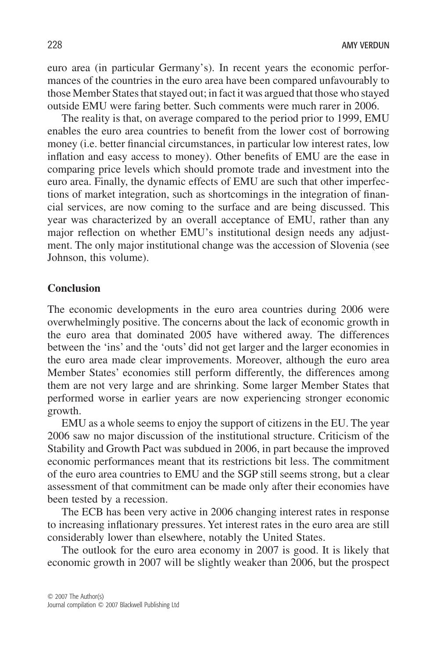euro area (in particular Germany's). In recent years the economic performances of the countries in the euro area have been compared unfavourably to those Member States that stayed out; in fact it was argued that those who stayed outside EMU were faring better. Such comments were much rarer in 2006.

The reality is that, on average compared to the period prior to 1999, EMU enables the euro area countries to benefit from the lower cost of borrowing money (i.e. better financial circumstances, in particular low interest rates, low inflation and easy access to money). Other benefits of EMU are the ease in comparing price levels which should promote trade and investment into the euro area. Finally, the dynamic effects of EMU are such that other imperfections of market integration, such as shortcomings in the integration of financial services, are now coming to the surface and are being discussed. This year was characterized by an overall acceptance of EMU, rather than any major reflection on whether EMU's institutional design needs any adjustment. The only major institutional change was the accession of Slovenia (see Johnson, this volume).

## **Conclusion**

The economic developments in the euro area countries during 2006 were overwhelmingly positive. The concerns about the lack of economic growth in the euro area that dominated 2005 have withered away. The differences between the 'ins' and the 'outs' did not get larger and the larger economies in the euro area made clear improvements. Moreover, although the euro area Member States' economies still perform differently, the differences among them are not very large and are shrinking. Some larger Member States that performed worse in earlier years are now experiencing stronger economic growth.

EMU as a whole seems to enjoy the support of citizens in the EU. The year 2006 saw no major discussion of the institutional structure. Criticism of the Stability and Growth Pact was subdued in 2006, in part because the improved economic performances meant that its restrictions bit less. The commitment of the euro area countries to EMU and the SGP still seems strong, but a clear assessment of that commitment can be made only after their economies have been tested by a recession.

The ECB has been very active in 2006 changing interest rates in response to increasing inflationary pressures. Yet interest rates in the euro area are still considerably lower than elsewhere, notably the United States.

The outlook for the euro area economy in 2007 is good. It is likely that economic growth in 2007 will be slightly weaker than 2006, but the prospect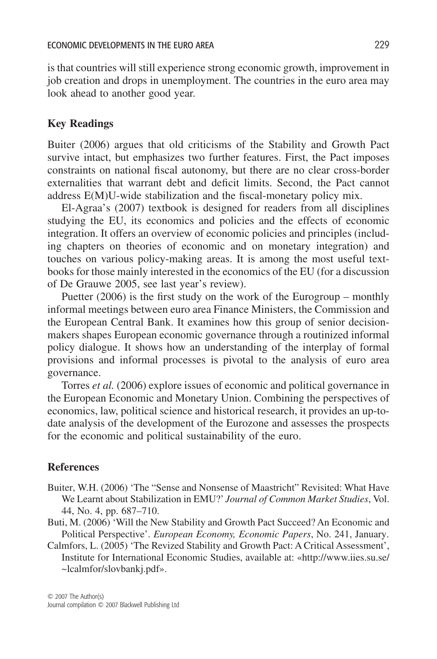is that countries will still experience strong economic growth, improvement in job creation and drops in unemployment. The countries in the euro area may look ahead to another good year.

#### **Key Readings**

Buiter (2006) argues that old criticisms of the Stability and Growth Pact survive intact, but emphasizes two further features. First, the Pact imposes constraints on national fiscal autonomy, but there are no clear cross-border externalities that warrant debt and deficit limits. Second, the Pact cannot address E(M)U-wide stabilization and the fiscal-monetary policy mix.

El-Agraa's (2007) textbook is designed for readers from all disciplines studying the EU, its economics and policies and the effects of economic integration. It offers an overview of economic policies and principles (including chapters on theories of economic and on monetary integration) and touches on various policy-making areas. It is among the most useful textbooks for those mainly interested in the economics of the EU (for a discussion of De Grauwe 2005, see last year's review).

Puetter (2006) is the first study on the work of the Eurogroup – monthly informal meetings between euro area Finance Ministers, the Commission and the European Central Bank. It examines how this group of senior decisionmakers shapes European economic governance through a routinized informal policy dialogue. It shows how an understanding of the interplay of formal provisions and informal processes is pivotal to the analysis of euro area governance.

Torres *et al.* (2006) explore issues of economic and political governance in the European Economic and Monetary Union. Combining the perspectives of economics, law, political science and historical research, it provides an up-todate analysis of the development of the Eurozone and assesses the prospects for the economic and political sustainability of the euro.

#### **References**

- Buiter, W.H. (2006) 'The "Sense and Nonsense of Maastricht" Revisited: What Have We Learnt about Stabilization in EMU?' *Journal of Common Market Studies*, Vol. 44, No. 4, pp. 687–710.
- Buti, M. (2006) 'Will the New Stability and Growth Pact Succeed? An Economic and Political Perspective'. *European Economy, Economic Papers*, No. 241, January.
- Calmfors, L. (2005) 'The Revized Stability and Growth Pact: A Critical Assessment', Institute for International Economic Studies, available at: [«http://www.iies.su.se/](http://www.iies.su.se) ~lcalmfor/slovbankj.pdf».